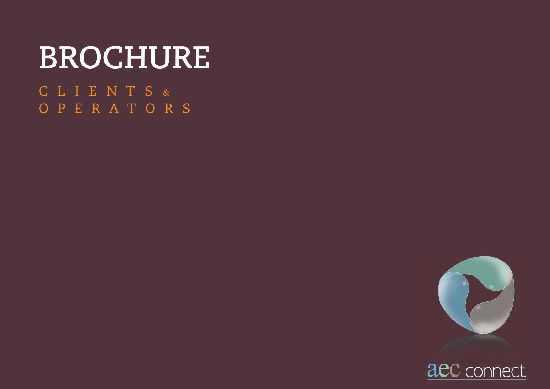# **BROCHURE**

C L I E N T S & O P E R A T O R S



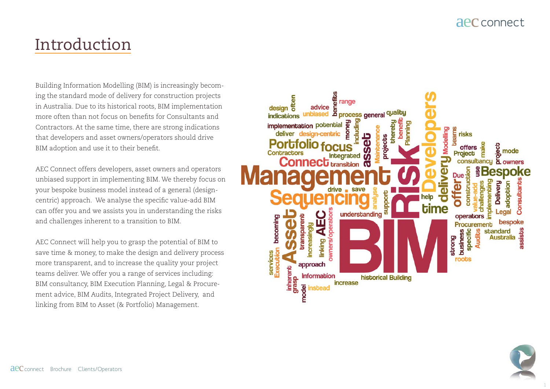## Introduction

Building Information Modelling (BIM) is increasingly becoming the standard mode of delivery for construction projects in Australia. Due to its historical roots, BIM implementation more often than not focus on benefits for Consultants and Contractors. At the same time, there are strong indications that developers and asset owners/operators should drive BIM adoption and use it to their benefit.

AEC Connect offers developers, asset owners and operators unbiased support in implementing BIM. We thereby focus on your bespoke business model instead of a general (designcentric) approach. We analyse the specific value-add BIM can offer you and we assists you in understanding the risks and challenges inherent to a transition to BIM.

AEC Connect will help you to grasp the potential of BIM to save time & money, to make the design and delivery process more transparent, and to increase the quality your project teams deliver. We offer you a range of services including: BIM consultancy, BIM Execution Planning, Legal & Procurement advice, BIM Audits, Integrated Project Delivery, and linking from BIM to Asset (& Portfolio) Management.



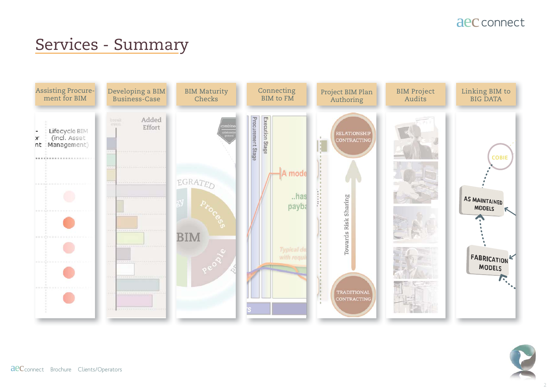## Services - Summary





**aeC** connect Brochure Clients/Operators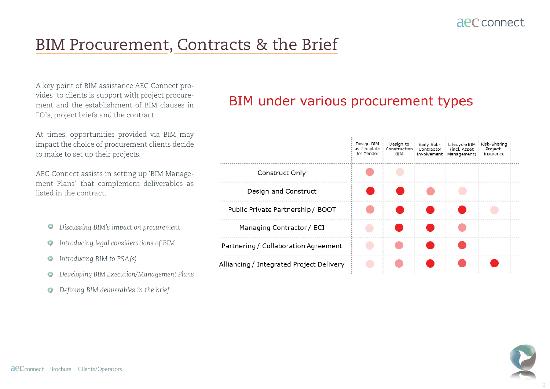## BIM Procurement, Contracts & the Brief

A key point of BIM assistance AEC Connect provides to clients is support with project procurement and the establishment of BIM clauses in EOIs, project briefs and the contract.

At times, opportunities provided via BIM may impact the choice of procurement clients decide to make to set up their projects.

AEC Connect assists in setting up 'BIM Management Plans' that complement deliverables as listed in the contract.

- *Discussing BIM's impact on procurement*
- *Introducing legal considerations of BIM*
- *Introducing BIM to PSA(s)*
- *Developing BIM Execution/Management Plans*  $\bullet$
- $\bullet$  *Defining BIM deliverables in the brief*

#### BIM under various procurement types

|                                          | Design BIM<br>as Template<br>for Tender | Design to<br>Construction<br>BIM | Early Sub-<br>Contractor | Lifecycle BIM<br>(incl. Asset<br>Involvement   Management) | Risk-Sharing<br>Project-<br>Insurance |  |
|------------------------------------------|-----------------------------------------|----------------------------------|--------------------------|------------------------------------------------------------|---------------------------------------|--|
| Construct Only                           |                                         |                                  |                          |                                                            |                                       |  |
| Design and Construct                     |                                         |                                  |                          |                                                            |                                       |  |
| Public Private Partnership / BOOT        |                                         |                                  |                          |                                                            |                                       |  |
| Managing Contractor / ECI                |                                         |                                  |                          |                                                            |                                       |  |
| Partnering / Collaboration Agreement     |                                         |                                  |                          |                                                            |                                       |  |
| Alliancing / Integrated Project Delivery |                                         |                                  |                          |                                                            |                                       |  |

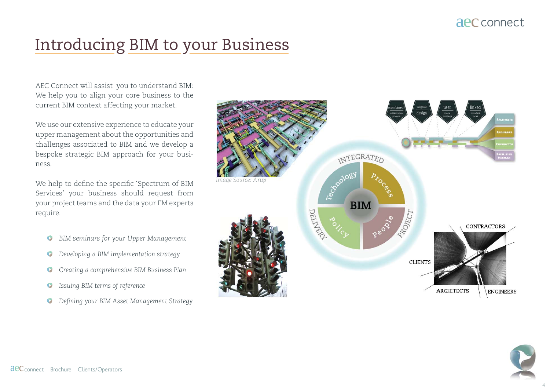## Introducing BIM to your Business

AEC Connect will assist you to understand BIM: We help you to align your core business to the current BIM context affecting your market.

We use our extensive experience to educate your upper management about the opportunities and challenges associated to BIM and we develop a bespoke strategic BIM approach for your business.

We help to define the specific 'Spectrum of BIM Services' your business should request from your project teams and the data your FM experts require.

- *BIM seminars for your Upper Management*   $\bullet$
- *Developing a BIM implementation strategy*
- *Creating a comprehensive BIM Business Plan*
- *Issuing BIM terms of reference*
- *D Defining your BIM Asset Management Strategy*



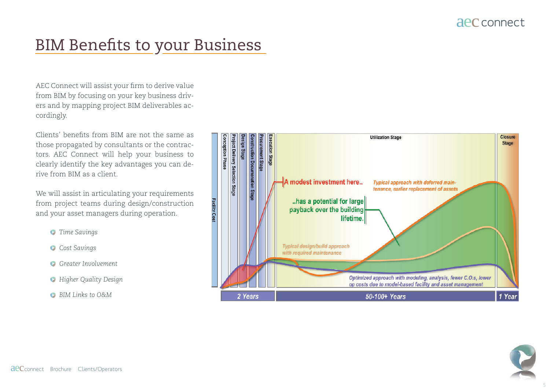## BIM Benefits to your Business

AEC Connect will assist your firm to derive value from BIM by focusing on your key business drivers and by mapping project BIM deliverables accordingly.

 $Clients'$  benefits from  $RIM$  are not the same as those propagated by consultants or the contractors. AEC Connect will help your business to clearly identify the key advantages you can derive from BIM as a client.

We will assist in articulating your requirements from project teams during design/construction and your asset managers during operation.

- *Time Savings*
- *Cost Savings*
- *Greater Involvement*
- *Higher Quality Design*
- *BIM Links to O&M*



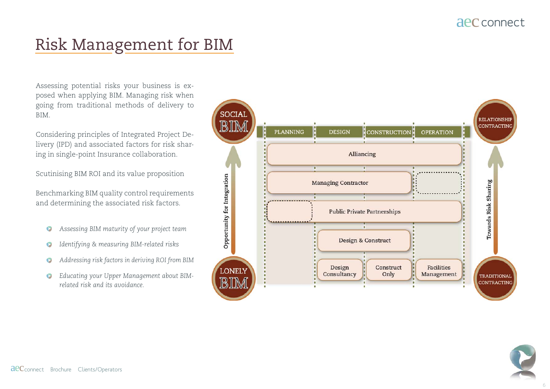## Risk Management for BIM

Assessing potential risks your business is exposed when applying BIM. Managing risk when going from traditional methods of delivery to BIM.

Considering principles of Integrated Project Delivery (IPD) and associated factors for risk sharing in single-point Insurance collaboration.

Scutinising BIM ROI and its value proposition

Benchmarking BIM quality control requirements and determining the associated risk factors.

- *Assessing BIM maturity of your project team*
- *Identifying & measuring BIM-related risks*
- *Addressing risk factors in deriving ROI from BIM*  $\bullet$
- *Educating your Upper Management about BIM related risk and its avoidance.*



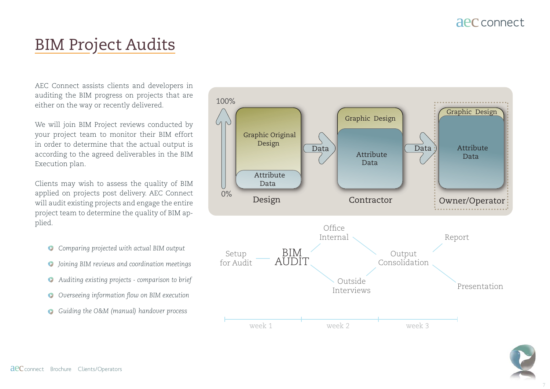## BIM Project Audits

AEC Connect assists clients and developers in auditing the BIM progress on projects that are either on the way or recently delivered.

We will join BIM Project reviews conducted by your project team to monitor their BIM effort in order to determine that the actual output is according to the agreed deliverables in the BIM Execution plan.

Clients may wish to assess the quality of BIM applied on projects post delivery. AEC Connect will audit existing projects and engage the entire project team to determine the quality of BIM applied.

- *Comparing projected with actual BIM output*
- *Joining BIM reviews and coordination meetings*
- *Auditing existing projects comparison to brief*
- *O* Overseeing information flow on BIM execution
- *Guiding the O&M (manual) handover process*



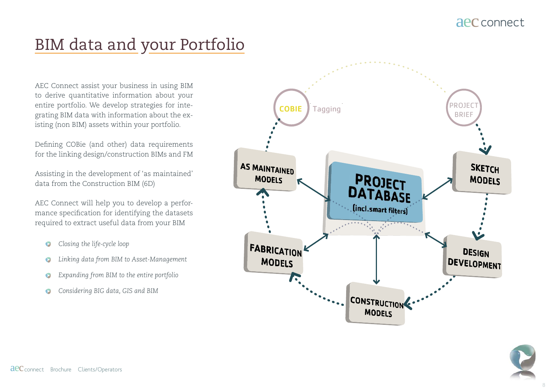## BIM data and your Portfolio

AEC Connect assist your business in using BIM to derive quantitative information about your entire portfolio. We develop strategies for integrating BIM data with information about the existing (non BIM) assets within your portfolio.

Defining COBie (and other) data requirements for the linking design/construction BIMs and FM

Assisting in the development of 'as maintained' data from the Construction BIM (6D)

AEC Connect will help you to develop a performance specification for identifying the datasets required to extract useful data from your BIM

- *Closing the life-cycle loop*
- *Linking data from BIM to Asset-Management*
- *Expanding from BIM to the entire portfolio*
- *Considering BIG data, GIS and BIM*